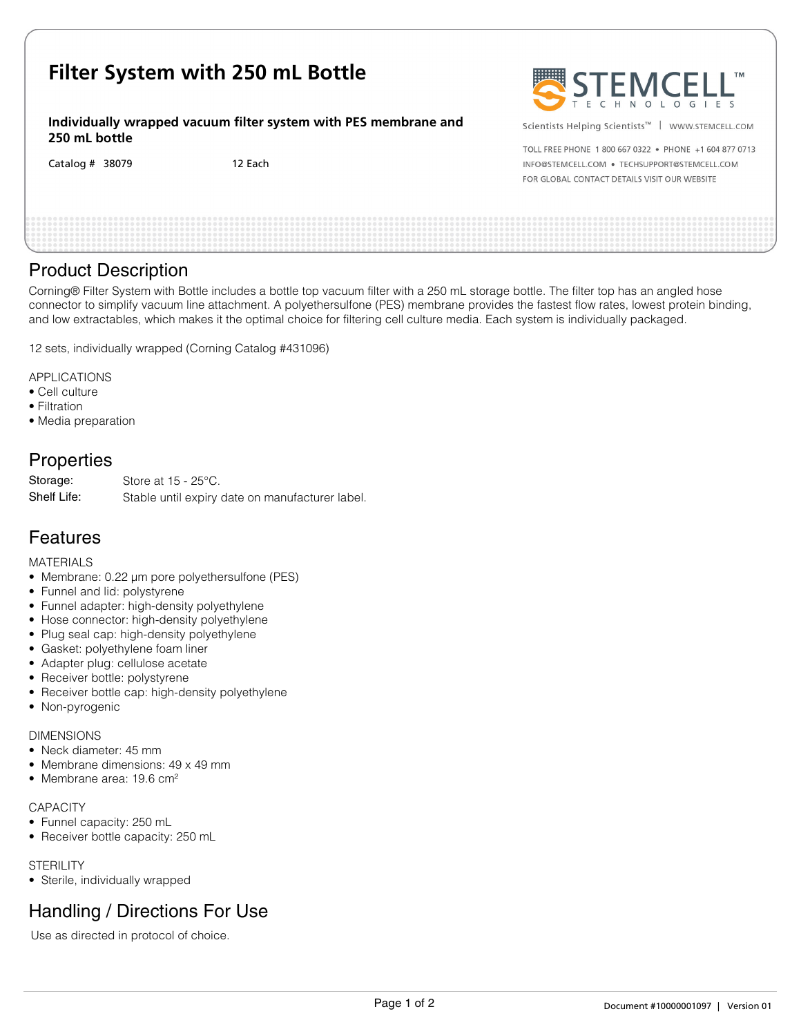| Filter System with 250 mL Bottle                                                 |         | STEMCELL"                                                                                                               |
|----------------------------------------------------------------------------------|---------|-------------------------------------------------------------------------------------------------------------------------|
| Individually wrapped vacuum filter system with PES membrane and<br>250 mL bottle |         | Scientists Helping Scientists <sup>™</sup>   WWW.STEMCELL.COM<br>TOLL FREE PHONE 1 800 667 0322 . PHONE +1 604 877 0713 |
| Catalog $#$ 38079                                                                | 12 Each | INFO@STEMCELL.COM . TECHSUPPORT@STEMCELL.COM<br>FOR GLOBAL CONTACT DETAILS VISIT OUR WEBSITE                            |
|                                                                                  |         |                                                                                                                         |

# Product Description

Corning® Filter System with Bottle includes a bottle top vacuum filter with a 250 mL storage bottle. The filter top has an angled hose connector to simplify vacuum line attachment. A polyethersulfone (PES) membrane provides the fastest flow rates, lowest protein binding, and low extractables, which makes it the optimal choice for filtering cell culture media. Each system is individually packaged.

12 sets, individually wrapped (Corning Catalog #431096)

APPLICATIONS

- Cell culture
- Filtration
- Media preparation

# **Properties**

Store at 15 - 25°C. Stable until expiry date on manufacturer label. Storage: Shelf Life:

### Features

MATERIALS

- Membrane: 0.22 µm pore polyethersulfone (PES)
- Funnel and lid: polystyrene
- Funnel adapter: high-density polyethylene
- Hose connector: high-density polyethylene
- Plug seal cap: high-density polyethylene
- Gasket: polyethylene foam liner
- Adapter plug: cellulose acetate
- Receiver bottle: polystyrene
- Receiver bottle cap: high-density polyethylene
- Non-pyrogenic

#### DIMENSIONS

- Neck diameter: 45 mm
- Membrane dimensions: 49 x 49 mm
- Membrane area: 19.6 cm<sup>2</sup>

#### **CAPACITY**

- Funnel capacity: 250 mL
- Receiver bottle capacity: 250 mL

**STERILITY** 

• Sterile, individually wrapped

# Handling / Directions For Use

Use as directed in protocol of choice.